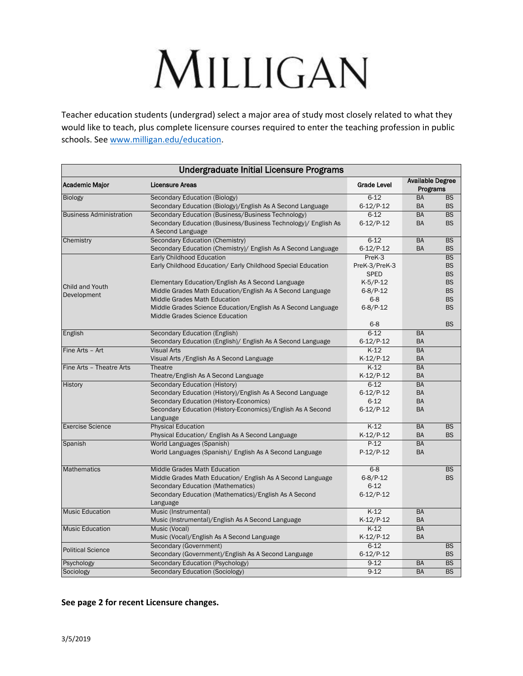# MILLIGAN

Teacher education students (undergrad) select a major area of study most closely related to what they would like to teach, plus complete licensure courses required to enter the teaching profession in public schools. See [www.milligan.edu/education.](http://www.milligan.edu/education)

| <b>Undergraduate Initial Licensure Programs</b> |                                                                                                 |                    |                                     |           |
|-------------------------------------------------|-------------------------------------------------------------------------------------------------|--------------------|-------------------------------------|-----------|
| <b>Academic Major</b>                           | <b>Licensure Areas</b>                                                                          | <b>Grade Level</b> | <b>Available Degree</b><br>Programs |           |
| <b>Biology</b>                                  | <b>Secondary Education (Biology)</b>                                                            | $6 - 12$           | <b>BA</b>                           | <b>BS</b> |
|                                                 | Secondary Education (Biology)/English As A Second Language                                      | $6-12/P-12$        | <b>BA</b>                           | <b>BS</b> |
| <b>Business Administration</b>                  | Secondary Education (Business/Business Technology)                                              | $6 - 12$           | <b>BA</b>                           | BS        |
|                                                 | Secondary Education (Business/Business Technology)/ English As<br>A Second Language             | $6-12/P-12$        | <b>BA</b>                           | <b>BS</b> |
| Chemistry                                       | Secondary Education (Chemistry)                                                                 | $6 - 12$           | <b>BA</b>                           | <b>BS</b> |
|                                                 | Secondary Education (Chemistry)/ English As A Second Language                                   | $6-12/P-12$        | <b>BA</b>                           | <b>BS</b> |
|                                                 | Early Childhood Education                                                                       | PreK-3             |                                     | <b>BS</b> |
|                                                 | Early Childhood Education/ Early Childhood Special Education                                    | PreK-3/PreK-3      |                                     | <b>BS</b> |
|                                                 |                                                                                                 | <b>SPED</b>        |                                     | <b>BS</b> |
| Child and Youth                                 | Elementary Education/English As A Second Language                                               | $K-5/P-12$         |                                     | <b>BS</b> |
| Development                                     | Middle Grades Math Education/English As A Second Language                                       | $6 - 8 / P - 12$   |                                     | <b>BS</b> |
|                                                 | Middle Grades Math Education                                                                    | $6 - 8$            |                                     | <b>BS</b> |
|                                                 | Middle Grades Science Education/English As A Second Language<br>Middle Grades Science Education | $6 - 8$ /P-12      |                                     | <b>BS</b> |
|                                                 |                                                                                                 | $6 - 8$            |                                     | <b>BS</b> |
| English                                         | Secondary Education (English)                                                                   | $6 - 12$           | <b>BA</b>                           |           |
|                                                 | Secondary Education (English)/ English As A Second Language                                     | $6-12/P-12$        | <b>BA</b>                           |           |
| Fine Arts - Art                                 | <b>Visual Arts</b>                                                                              | $K-12$             | <b>BA</b>                           |           |
|                                                 | Visual Arts / English As A Second Language                                                      | $K-12/P-12$        | <b>BA</b>                           |           |
| Fine Arts - Theatre Arts                        | Theatre                                                                                         | $K-12$             | <b>BA</b>                           |           |
|                                                 | Theatre/English As A Second Language                                                            | $K-12/P-12$        | <b>BA</b>                           |           |
| History                                         | <b>Secondary Education (History)</b>                                                            | $6 - 12$           | <b>BA</b>                           |           |
|                                                 | Secondary Education (History)/English As A Second Language                                      | $6-12/P-12$        | <b>BA</b>                           |           |
|                                                 | Secondary Education (History-Economics)                                                         | $6 - 12$           | <b>BA</b>                           |           |
|                                                 | Secondary Education (History-Economics)/English As A Second<br>Language                         | $6-12/P-12$        | <b>BA</b>                           |           |
| <b>Exercise Science</b>                         | <b>Physical Education</b>                                                                       | $K-12$             | <b>BA</b>                           | <b>BS</b> |
|                                                 | Physical Education/ English As A Second Language                                                | $K-12/P-12$        | <b>BA</b>                           | <b>BS</b> |
| Spanish                                         | World Languages (Spanish)                                                                       | $P-12$             | <b>BA</b>                           |           |
|                                                 | World Languages (Spanish)/ English As A Second Language                                         | P-12/P-12          | <b>BA</b>                           |           |
| <b>Mathematics</b>                              | <b>Middle Grades Math Education</b>                                                             | $6 - 8$            |                                     | <b>BS</b> |
|                                                 | Middle Grades Math Education/ English As A Second Language                                      | $6 - 8 / P - 12$   |                                     | <b>BS</b> |
|                                                 | Secondary Education (Mathematics)                                                               | $6 - 12$           |                                     |           |
|                                                 | Secondary Education (Mathematics)/English As A Second                                           | $6-12/P-12$        |                                     |           |
|                                                 | Language                                                                                        |                    |                                     |           |
| <b>Music Education</b>                          | Music (Instrumental)                                                                            | $K-12$             | <b>BA</b>                           |           |
|                                                 | Music (Instrumental)/English As A Second Language                                               | $K-12/P-12$        | <b>BA</b>                           |           |
| <b>Music Education</b>                          | Music (Vocal)                                                                                   | $K-12$             | <b>BA</b>                           |           |
|                                                 | Music (Vocal)/English As A Second Language                                                      | $K-12/P-12$        | <b>BA</b>                           |           |
| <b>Political Science</b>                        | Secondary (Government)                                                                          | $6 - 12$           |                                     | <b>BS</b> |
|                                                 | Secondary (Government)/English As A Second Language                                             | $6-12/P-12$        |                                     | <b>BS</b> |
| Psychology                                      | Secondary Education (Psychology)                                                                | $9-12$             | <b>BA</b>                           | <b>BS</b> |
| Sociology                                       | <b>Secondary Education (Sociology)</b>                                                          | $9 - 12$           | <b>BA</b>                           | <b>BS</b> |

### **See page 2 for recent Licensure changes.**